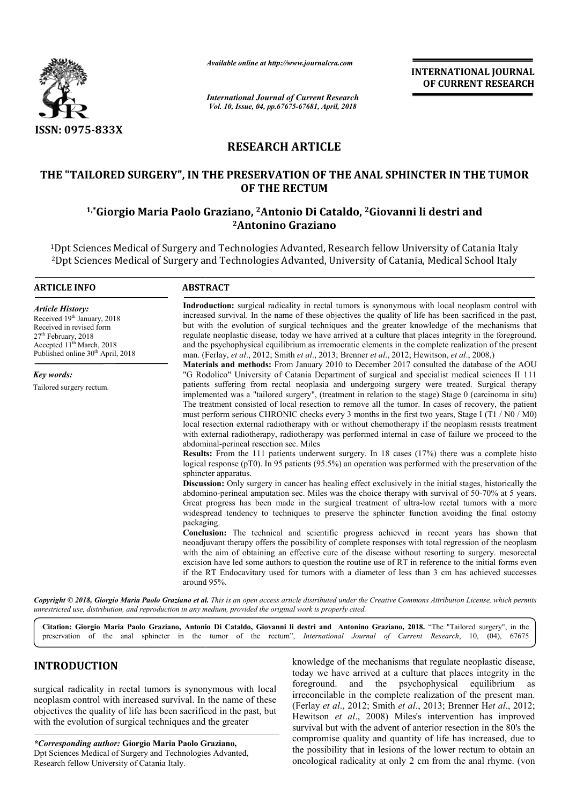

*Available online at http://www.journalcra.com*

*International Journal of Current Research Vol. 10, Issue, 04, pp.67675-67681, April, 2018*

**INTERNATIONAL JOURNAL OF CURRENT RESEARCH**

# **RESEARCH ARTICLE**

## **THE "TAILORED SURGERY", IN THE PRESERVATION OF THE ANAL SPHINCTER IN THE TUMOR OF THE OF THE RECTUM**

## **1,\*Giorgio Maria Paolo Graziano, Giorgio 2Antonio Di Cataldo, 2Giovanni li destri and Giovanni li destri and 2Antonino Graziano**

<sup>1</sup>Dpt Sciences Medical of Surgery and Technologies Advanted, Research fellow University of Catania Italy 1Dpt Sciences Medical of Surgery and Technologies Advanted, Research fellow University of Catania Italy<br>2Dpt Sciences Medical of Surgery and Technologies Advanted, University of Catania, Medical School Italy

#### **ARTICLE INFO ABSTRACT**

Received 19<sup>th</sup> January, 2018 Received in revised form 27<sup>th</sup> February, 2018 Accepted 11<sup>th</sup> March, 2018 Published online 30<sup>th</sup> April, 2018

Tailored surgery rectum.

*Article History:*

*Key words:*

Indroduction: surgical radicality in rectal tumors is synonymous with local neoplasm control with increased survival. In the name of these objectives the quality of life has been sacrificed in the past, Indroduction: surgical radicality in rectal tumors is synonymous with local neoplasm control with increased survival. In the name of these objectives the quality of life has been sacrificed in the past, but with the evolut regulate neoplastic disease, today we have arrived at a culture that places integrity in the foreground. regulate neoplastic disease, today we have arrived at a culture that places integrity in the foreground.<br>and the psychophysical equilibrium as irremocratic elements in the complete realization of the present man. (Ferlay (Ferlay, *et al*., 2012; Smith *et al*., 2013; Brenner *et al*., 2012; Hewitson, *et al*., 2008,)

**Materials and methods:** From January 2010 to December 2017 consulted the database of the AOU "G Rodolico Rodolico" University of Catania Department of surgical and specialist medical sciences II 111 patients suffering from rectal neoplasia and undergoing surgery were treated. Surgical therapy **Materials and methods:** From January 2010 to December 2017 consulted the database of the AOU "G Rodolico" University of Catania Department of surgical and specialist medical sciences II 111 patients suffering from rectal The treatment consisted of local resection to remove all the tumor. In cases of recovery, the patient must perform serious CHRONIC checks every 3 months in the first two years, Stage I (T1 / N0 / M0) local resection external radiotherapy with or without chemotherapy if the neoplasm resists treatment with external radiotherapy, radiotherapy was performed internal in case of failure we proceed to the abdominal abdominal-perineal resection sec. Miles The treatment consisted of local resection to remove all the tumor. In cases of recovery, the patient must perform serious CHRONIC checks every 3 months in the first two years, Stage I (T1 / N0 / M0) local resection exter

**Results Results:** From the 111 patients underwent surgery. In 18 cases (17%) there was a complete histo logical response (pT0). In 95 patients (95.5%) an operation was performed with the preservation of the sphincter apparatus.

**Discussion Discussion:** Only surgery in cancer has healing effect exclusively in the initial stages, historically the abdomino abdomino-perineal amputation sec. Miles was the choice therapy with Great progress has been made in the surgical treatment of ultra-low rectal tumors with a more widespread tendency to techniques to preserve the sphincter function avoiding the final ostomy packaging.

**Conclusion:** The technical and scientific progress achieved in recent years has shown that neoadjuvant therapy offers the possibility of complete responses with total regression of the neoplasm with the aim of obtaining an effective cure of the disease without resorting to surgery. mesorectal excision have led some authors to question the routine use of RT in reference to the initial forms even if the RT Endocavitary used for tumors with a diameter of less than 3 cm has achieved successes around 95% 95%. widespread tendency to techniques to preserve the sphincter function avoiding the final ostomy packaging.<br>Conclusion: The technical and scientific progress achieved in recent years has shown that neoadjuvant therapy offers

Copyright © 2018, Giorgio Maria Paolo Graziano et al. This is an open access article distributed under the Creative Commons Attribution License, which permits *unrestricted use, distribution, and reproduction in any medium, provided the original work is properly cited.*

**Citation: Giorgio Maria Paolo Graziano, Antonio Di Cataldo, Giovanni li destri and Antonino Graziano Graziano, 201 2018.** "The "Tailored surgery", in the preservation of the anal sphincter in the tumor of the rectum", *International Journal of Current Research*, 10, (04), 67675

## **INTRODUCTION**

surgical radicality in rectal tumors is synonymous with local neoplasm control with increased survival. In the name of these objectives the quality of life has been sacrificed in the past, but with the evolution of surgical techniques and the greater

*\*Corresponding author:* **Giorgio Maria Paolo Graziano,** Dpt Sciences Medical of Surgery and Technologies Advanted, Research fellow University of Catania Italy.

knowledge of the mechanisms that regulate neoplastic disease, today we have arrived at a culture that places integrity in the foreground. and the psychophysical equilibrium as foreground. and the psychophysical irreconcilable in the complete realization of the present man. (Ferlay *et al*., 2012; Smith *et al* Hewitson *et al*., 2008) Miles's intervention has improved survival but with the advent of anterior resection in the 80's the compromise quality and quantity of life has increased, due to the possibility that in lesions of the lower rectum to obtain an oncological radicality at only 2 cm from the anal rhyme. ( today we have arrived at a culture that places integrity in the foreground. and the psychophysical equilibrium as irreconcilable in the complete realization of the present man. (Ferlay *et al.*, 2012; Smith *et al.*, 2013; *et al.*, 2008) Miles's intervention has improved ut with the advent of anterior resection in the 80's the ise quality and quantity of life has increased, due to bility that in lesions of the lower rectum to obtain an al r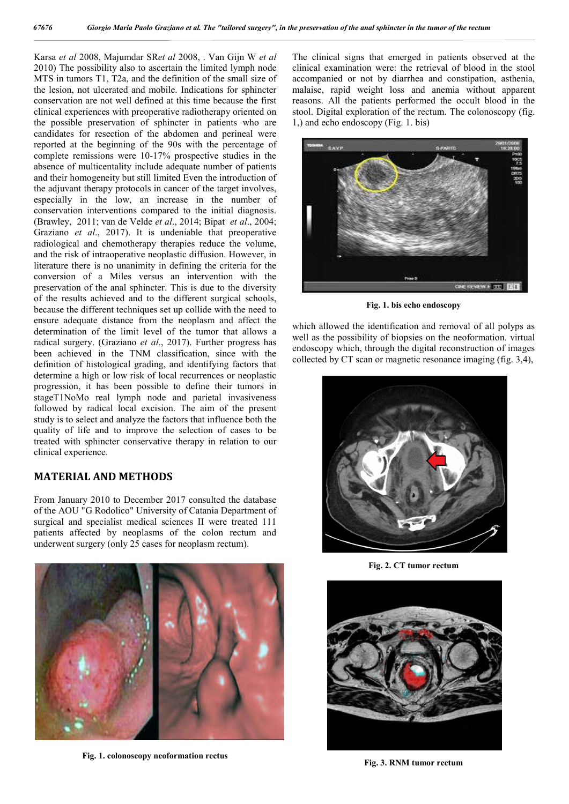Karsa *et al* 2008, Majumdar SR*et al* 2008, . Van Gijn W *et al* 2010) The possibility also to ascertain the limited lymph node MTS in tumors T1, T2a, and the definition of the small size of the lesion, not ulcerated and mobile. Indications for sphincter conservation are not well defined at this time because the first clinical experiences with preoperative radiotherapy oriented on the possible preservation of sphincter in patients who are candidates for resection of the abdomen and perineal were reported at the beginning of the 90s with the percentage of complete remissions were 10-17% prospective studies in the absence of multicentality include adequate number of patients and their homogeneity but still limited Even the introduction of the adjuvant therapy protocols in cancer of the target involves, especially in the low, an increase in the number of conservation interventions compared to the initial diagnosis. (Brawley, 2011; van de Velde *et al*., 2014; Bipat *et al*., 2004; Graziano *et al*., 2017). It is undeniable that preoperative radiological and chemotherapy therapies reduce the volume, and the risk of intraoperative neoplastic diffusion. However, in literature there is no unanimity in defining the criteria for the conversion of a Miles versus an intervention with the preservation of the anal sphincter. This is due to the diversity of the results achieved and to the different surgical schools, because the different techniques set up collide with the need to ensure adequate distance from the neoplasm and affect the determination of the limit level of the tumor that allows a radical surgery. (Graziano *et al*., 2017). Further progress has been achieved in the TNM classification, since with the definition of histological grading, and identifying factors that determine a high or low risk of local recurrences or neoplastic progression, it has been possible to define their tumors in stageT1NoMo real lymph node and parietal invasiveness followed by radical local excision. The aim of the present study is to select and analyze the factors that influence both the quality of life and to improve the selection of cases to be treated with sphincter conservative therapy in relation to our clinical experience.

### **MATERIAL AND METHODS**

From January 2010 to December 2017 consulted the database of the AOU "G Rodolico" University of Catania Department of surgical and specialist medical sciences II were treated 111 patients affected by neoplasms of the colon rectum and underwent surgery (only 25 cases for neoplasm rectum).



**Fig. 1. colonoscopy neoformation rectus**

The clinical signs that emerged in patients observed at the clinical examination were: the retrieval of blood in the stool accompanied or not by diarrhea and constipation, asthenia, malaise, rapid weight loss and anemia without apparent reasons. All the patients performed the occult blood in the stool. Digital exploration of the rectum. The colonoscopy (fig. 1,) and echo endoscopy (Fig. 1. bis)



**Fig. 1. bis echo endoscopy**

which allowed the identification and removal of all polyps as well as the possibility of biopsies on the neoformation. virtual endoscopy which, through the digital reconstruction of images collected by CT scan or magnetic resonance imaging (fig. 3,4),



**Fig. 2. CT tumor rectum**



**Fig. 3. RNM tumor rectum**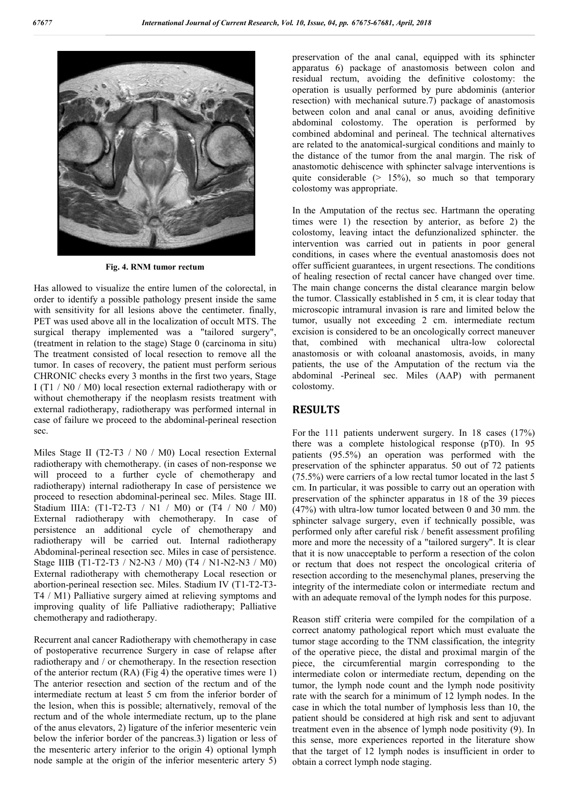

**Fig. 4. RNM tumor rectum**

Has allowed to visualize the entire lumen of the colorectal, in order to identify a possible pathology present inside the same with sensitivity for all lesions above the centimeter. finally, PET was used above all in the localization of occult MTS. The surgical therapy implemented was a "tailored surgery", (treatment in relation to the stage) Stage 0 (carcinoma in situ) The treatment consisted of local resection to remove all the tumor. In cases of recovery, the patient must perform serious CHRONIC checks every 3 months in the first two years, Stage I (T1 / N0 / M0) local resection external radiotherapy with or without chemotherapy if the neoplasm resists treatment with external radiotherapy, radiotherapy was performed internal in case of failure we proceed to the abdominal-perineal resection sec.

Miles Stage II (T2-T3 / N0 / M0) Local resection External radiotherapy with chemotherapy. (in cases of non-response we will proceed to a further cycle of chemotherapy and radiotherapy) internal radiotherapy In case of persistence we proceed to resection abdominal-perineal sec. Miles. Stage III. Stadium IIIA: (T1-T2-T3 / N1 / M0) or (T4 / N0 / M0) External radiotherapy with chemotherapy. In case of persistence an additional cycle of chemotherapy and radiotherapy will be carried out. Internal radiotherapy Abdominal-perineal resection sec. Miles in case of persistence. Stage IIIB (T1-T2-T3 / N2-N3 / M0) (T4 / N1-N2-N3 / M0) External radiotherapy with chemotherapy Local resection or abortion-perineal resection sec. Miles. Stadium IV (T1-T2-T3- T4 / M1) Palliative surgery aimed at relieving symptoms and improving quality of life Palliative radiotherapy; Palliative chemotherapy and radiotherapy.

Recurrent anal cancer Radiotherapy with chemotherapy in case of postoperative recurrence Surgery in case of relapse after radiotherapy and / or chemotherapy. In the resection resection of the anterior rectum (RA) (Fig 4) the operative times were 1) The anterior resection and section of the rectum and of the intermediate rectum at least 5 cm from the inferior border of the lesion, when this is possible; alternatively, removal of the rectum and of the whole intermediate rectum, up to the plane of the anus elevators, 2) ligature of the inferior mesenteric vein below the inferior border of the pancreas.3) ligation or less of the mesenteric artery inferior to the origin 4) optional lymph node sample at the origin of the inferior mesenteric artery 5) preservation of the anal canal, equipped with its sphincter apparatus 6) package of anastomosis between colon and residual rectum, avoiding the definitive colostomy: the operation is usually performed by pure abdominis (anterior resection) with mechanical suture.7) package of anastomosis between colon and anal canal or anus, avoiding definitive abdominal colostomy. The operation is performed by combined abdominal and perineal. The technical alternatives are related to the anatomical-surgical conditions and mainly to the distance of the tumor from the anal margin. The risk of anastomotic dehiscence with sphincter salvage interventions is quite considerable  $(> 15\%)$ , so much so that temporary colostomy was appropriate.

In the Amputation of the rectus sec. Hartmann the operating times were 1) the resection by anterior, as before 2) the colostomy, leaving intact the defunzionalized sphincter. the intervention was carried out in patients in poor general conditions, in cases where the eventual anastomosis does not offer sufficient guarantees, in urgent resections. The conditions of healing resection of rectal cancer have changed over time. The main change concerns the distal clearance margin below the tumor. Classically established in 5 cm, it is clear today that microscopic intramural invasion is rare and limited below the tumor, usually not exceeding 2 cm. intermediate rectum excision is considered to be an oncologically correct maneuver that, combined with mechanical ultra-low colorectal anastomosis or with coloanal anastomosis, avoids, in many patients, the use of the Amputation of the rectum via the abdominal -Perineal sec. Miles (AAP) with permanent colostomy.

### **RESULTS**

For the 111 patients underwent surgery. In 18 cases (17%) there was a complete histological response (pT0). In 95 patients (95.5%) an operation was performed with the preservation of the sphincter apparatus. 50 out of 72 patients (75.5%) were carriers of a low rectal tumor located in the last 5 cm. In particular, it was possible to carry out an operation with preservation of the sphincter apparatus in 18 of the 39 pieces (47%) with ultra-low tumor located between 0 and 30 mm. the sphincter salvage surgery, even if technically possible, was performed only after careful risk / benefit assessment profiling more and more the necessity of a "tailored surgery". It is clear that it is now unacceptable to perform a resection of the colon or rectum that does not respect the oncological criteria of resection according to the mesenchymal planes, preserving the integrity of the intermediate colon or intermediate rectum and with an adequate removal of the lymph nodes for this purpose.

Reason stiff criteria were compiled for the compilation of a correct anatomy pathological report which must evaluate the tumor stage according to the TNM classification, the integrity of the operative piece, the distal and proximal margin of the piece, the circumferential margin corresponding to the intermediate colon or intermediate rectum, depending on the tumor, the lymph node count and the lymph node positivity rate with the search for a minimum of 12 lymph nodes. In the case in which the total number of lymphosis less than 10, the patient should be considered at high risk and sent to adjuvant treatment even in the absence of lymph node positivity (9). In this sense, more experiences reported in the literature show that the target of 12 lymph nodes is insufficient in order to obtain a correct lymph node staging.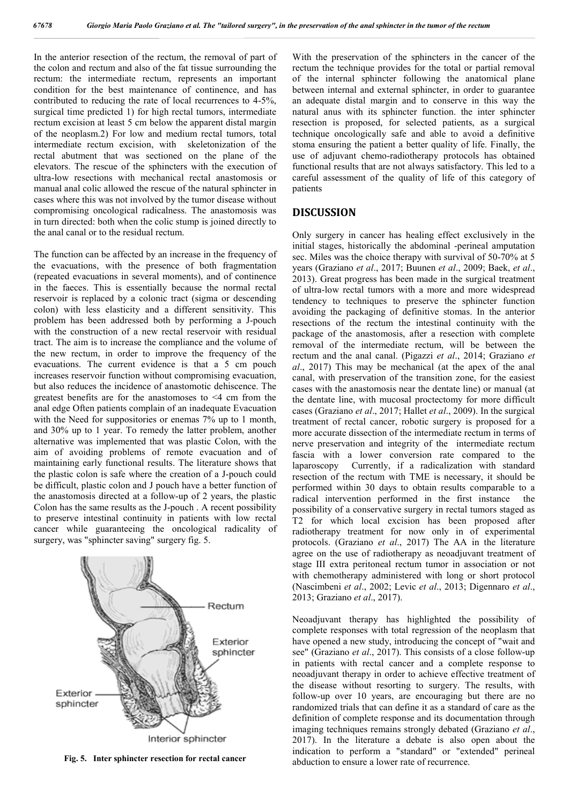In the anterior resection of the rectum, the removal of part of the colon and rectum and also of the fat tissue surrounding the rectum: the intermediate rectum, represents an important condition for the best maintenance of continence, and has contributed to reducing the rate of local recurrences to 4-5%, surgical time predicted 1) for high rectal tumors, intermediate rectum excision at least 5 cm below the apparent distal margin of the neoplasm.2) For low and medium rectal tumors, total intermediate rectum excision, with skeletonization of the rectal abutment that was sectioned on the plane of the elevators. The rescue of the sphincters with the execution of ultra-low resections with mechanical rectal anastomosis or manual anal colic allowed the rescue of the natural sphincter in cases where this was not involved by the tumor disease without compromising oncological radicalness. The anastomosis was in turn directed: both when the colic stump is joined directly to the anal canal or to the residual rectum.

The function can be affected by an increase in the frequency of the evacuations, with the presence of both fragmentation (repeated evacuations in several moments), and of continence in the faeces. This is essentially because the normal rectal reservoir is replaced by a colonic tract (sigma or descending colon) with less elasticity and a different sensitivity. This problem has been addressed both by performing a J-pouch with the construction of a new rectal reservoir with residual tract. The aim is to increase the compliance and the volume of the new rectum, in order to improve the frequency of the evacuations. The current evidence is that a 5 cm pouch increases reservoir function without compromising evacuation, but also reduces the incidence of anastomotic dehiscence. The greatest benefits are for the anastomoses to <4 cm from the anal edge Often patients complain of an inadequate Evacuation with the Need for suppositories or enemas 7% up to 1 month, and 30% up to 1 year. To remedy the latter problem, another alternative was implemented that was plastic Colon, with the aim of avoiding problems of remote evacuation and of maintaining early functional results. The literature shows that the plastic colon is safe where the creation of a J-pouch could be difficult, plastic colon and J pouch have a better function of the anastomosis directed at a follow-up of 2 years, the plastic Colon has the same results as the J-pouch . A recent possibility to preserve intestinal continuity in patients with low rectal cancer while guaranteeing the oncological radicality of surgery, was "sphincter saving" surgery fig. 5.



**Fig. 5. Inter sphincter resection for rectal cancer**

With the preservation of the sphincters in the cancer of the rectum the technique provides for the total or partial removal of the internal sphincter following the anatomical plane between internal and external sphincter, in order to guarantee an adequate distal margin and to conserve in this way the natural anus with its sphincter function. the inter sphincter resection is proposed, for selected patients, as a surgical technique oncologically safe and able to avoid a definitive stoma ensuring the patient a better quality of life. Finally, the use of adjuvant chemo-radiotherapy protocols has obtained functional results that are not always satisfactory. This led to a careful assessment of the quality of life of this category of patients

#### **DISCUSSION**

Only surgery in cancer has healing effect exclusively in the initial stages, historically the abdominal -perineal amputation sec. Miles was the choice therapy with survival of 50-70% at 5 years (Graziano *et al*., 2017; Buunen *et al*., 2009; Baek, *et al*., 2013). Great progress has been made in the surgical treatment of ultra-low rectal tumors with a more and more widespread tendency to techniques to preserve the sphincter function avoiding the packaging of definitive stomas. In the anterior resections of the rectum the intestinal continuity with the package of the anastomosis, after a resection with complete removal of the intermediate rectum, will be between the rectum and the anal canal. (Pigazzi *et al*., 2014; Graziano *et al*., 2017) This may be mechanical (at the apex of the anal canal, with preservation of the transition zone, for the easiest cases with the anastomosis near the dentate line) or manual (at the dentate line, with mucosal proctectomy for more difficult cases (Graziano *et al*., 2017; Hallet *et al*., 2009). In the surgical treatment of rectal cancer, robotic surgery is proposed for a more accurate dissection of the intermediate rectum in terms of nerve preservation and integrity of the intermediate rectum fascia with a lower conversion rate compared to the laparoscopy Currently, if a radicalization with standard resection of the rectum with TME is necessary, it should be performed within 30 days to obtain results comparable to a radical intervention performed in the first instance the possibility of a conservative surgery in rectal tumors staged as T2 for which local excision has been proposed after radiotherapy treatment for now only in of experimental protocols. (Graziano *et al*., 2017) The AA in the literature agree on the use of radiotherapy as neoadjuvant treatment of stage III extra peritoneal rectum tumor in association or not with chemotherapy administered with long or short protocol (Nascimbeni *et al*., 2002; Levic *et al*., 2013; Digennaro *et al*., 2013; Graziano *et al*., 2017).

Neoadjuvant therapy has highlighted the possibility of complete responses with total regression of the neoplasm that have opened a new study, introducing the concept of "wait and see" (Graziano *et al*., 2017). This consists of a close follow-up in patients with rectal cancer and a complete response to neoadjuvant therapy in order to achieve effective treatment of the disease without resorting to surgery. The results, with follow-up over 10 years, are encouraging but there are no randomized trials that can define it as a standard of care as the definition of complete response and its documentation through imaging techniques remains strongly debated (Graziano *et al*., 2017). In the literature a debate is also open about the indication to perform a "standard" or "extended" perineal abduction to ensure a lower rate of recurrence.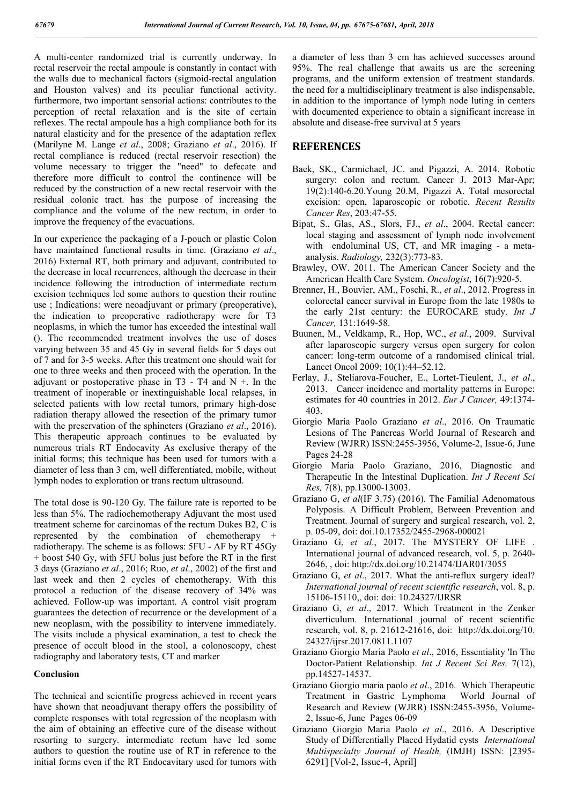A multi-center randomized trial is currently underway. In rectal reservoir the rectal ampoule is constantly in contact with the walls due to mechanical factors (sigmoid-rectal angulation and Houston valves) and its peculiar functional activity. furthermore, two important sensorial actions: contributes to the perception of rectal relaxation and is the site of certain reflexes. The rectal ampoule has a high compliance both for its natural elasticity and for the presence of the adaptation reflex (Marilyne M. Lange *et al*., 2008; Graziano *et al*., 2016). If rectal compliance is reduced (rectal reservoir resection) the volume necessary to trigger the "need" to defecate and therefore more difficult to control the continence will be reduced by the construction of a new rectal reservoir with the residual colonic tract. has the purpose of increasing the compliance and the volume of the new rectum, in order to improve the frequency of the evacuations.

In our experience the packaging of a J-pouch or plastic Colon have maintained functional results in time. (Graziano *et al*., 2016) External RT, both primary and adjuvant, contributed to the decrease in local recurrences, although the decrease in their incidence following the introduction of intermediate rectum excision techniques led some authors to question their routine use ; Indications: were neoadjuvant or primary (preoperative), the indication to preoperative radiotherapy were for T3 neoplasms, in which the tumor has exceeded the intestinal wall (). The recommended treatment involves the use of doses varying between 35 and 45 Gy in several fields for 5 days out of 7 and for 3-5 weeks. After this treatment one should wait for one to three weeks and then proceed with the operation. In the adjuvant or postoperative phase in  $T3 - T4$  and  $N +$ . In the treatment of inoperable or inextinguishable local relapses, in selected patients with low rectal tumors, primary high-dose radiation therapy allowed the resection of the primary tumor with the preservation of the sphincters (Graziano *et al*., 2016). This therapeutic approach continues to be evaluated by numerous trials RT Endocavity As exclusive therapy of the initial forms; this technique has been used for tumors with a diameter of less than 3 cm, well differentiated, mobile, without lymph nodes to exploration or trans rectum ultrasound.

The total dose is 90-120 Gy. The failure rate is reported to be less than 5%. The radiochemotherapy Adjuvant the most used treatment scheme for carcinomas of the rectum Dukes B2, C is represented by the combination of chemotherapy + radiotherapy. The scheme is as follows: 5FU - AF by RT 45Gy + boost 540 Gy, with 5FU bolus just before the RT in the first 3 days (Graziano *et al*., 2016; Ruo, *et al*., 2002) of the first and last week and then 2 cycles of chemotherapy. With this protocol a reduction of the disease recovery of 34% was achieved. Follow-up was important. A control visit program guarantees the detection of recurrence or the development of a new neoplasm, with the possibility to intervene immediately. The visits include a physical examination, a test to check the presence of occult blood in the stool, a colonoscopy, chest radiography and laboratory tests, CT and marker

#### **Conclusion**

The technical and scientific progress achieved in recent years have shown that neoadjuvant therapy offers the possibility of complete responses with total regression of the neoplasm with the aim of obtaining an effective cure of the disease without resorting to surgery. intermediate rectum have led some authors to question the routine use of RT in reference to the initial forms even if the RT Endocavitary used for tumors with

a diameter of less than 3 cm has achieved successes around 95%. The real challenge that awaits us are the screening programs, and the uniform extension of treatment standards. the need for a multidisciplinary treatment is also indispensable, in addition to the importance of lymph node luting in centers with documented experience to obtain a significant increase in absolute and disease-free survival at 5 years

## **REFERENCES**

- Baek, SK., Carmichael, JC. and Pigazzi, A. 2014. Robotic surgery: colon and rectum. Cancer J. 2013 Mar-Apr; 19(2):140-6.20.Young 20.M, Pigazzi A. Total mesorectal excision: open, laparoscopic or robotic. *Recent Results Cancer Res*, 203:47-55.
- Bipat, S., Glas, AS., Slors, FJ., *et al*., 2004. Rectal cancer: local staging and assessment of lymph node involvement with endoluminal US, CT, and MR imaging - a metaanalysis. *Radiology,* 232(3):773-83.
- Brawley, OW. 2011. The American Cancer Society and the American Health Care System. *Oncologist*, 16(7):920-5.
- Brenner, H., Bouvier, AM., Foschi, R., *et al*., 2012. Progress in colorectal cancer survival in Europe from the late 1980s to the early 21st century: the EUROCARE study. *Int J Cancer,* 131:1649-58.
- Buunen, M., Veldkamp, R., Hop, WC., *et al*., 2009. Survival after laparoscopic surgery versus open surgery for colon cancer: long-term outcome of a randomised clinical trial. Lancet Oncol 2009; 10(1):44–52.12.
- Ferlay, J., Steliarova-Foucher, E., Lortet-Tieulent, J., *et al*., 2013. Cancer incidence and mortality patterns in Europe: estimates for 40 countries in 2012. *Eur J Cancer,* 49:1374- 403.
- Giorgio Maria Paolo Graziano *et al*., 2016. On Traumatic Lesions of The Pancreas World Journal of Research and Review (WJRR) ISSN:2455-3956, Volume-2, Issue-6, June Pages 24-28
- Giorgio Maria Paolo Graziano, 2016, Diagnostic and Therapeutic In the Intestinal Duplication. *Int J Recent Sci Res,* 7(8), pp.13000-13003.
- Graziano G, *et al*(IF 3.75) (2016). The Familial Adenomatous Polyposis. A Difficult Problem, Between Prevention and Treatment. Journal of surgery and surgical research, vol. 2, p. 05-09, doi: doi.10.17352/2455-2968-000021
- Graziano G, *et al*., 2017. The MYSTERY OF LIFE . International journal of advanced research, vol. 5, p. 2640- 2646, , doi: http://dx.doi.org/10.21474/IJAR01/3055
- Graziano G, *et al*., 2017. What the anti-reflux surgery ideal? *International journal of recent scientific research*, vol. 8, p. 15106-15110,, doi: doi: 10.24327/IJRSR
- Graziano G, *et al*., 2017. Which Treatment in the Zenker diverticulum. International journal of recent scientific research, vol. 8, p. 21612-21616, doi: http://dx.doi.org/10. 24327/ijrsr.2017.0811.1107
- Graziano Giorgio Maria Paolo *et al*., 2016, Essentiality 'In The Doctor-Patient Relationship. *Int J Recent Sci Res,* 7(12), pp.14527-14537.
- Graziano Giorgio maria paolo *et al*., 2016. Which Therapeutic Treatment in Gastric Lymphoma World Journal of Research and Review (WJRR) ISSN:2455-3956, Volume-2, Issue-6, June Pages 06-09
- Graziano Giorgio Maria Paolo *et al*., 2016. A Descriptive Study of Differentially Placed Hydatid cysts *International Multispecialty Journal of Health,* (IMJH) ISSN: [2395- 6291] [Vol-2, Issue-4, April]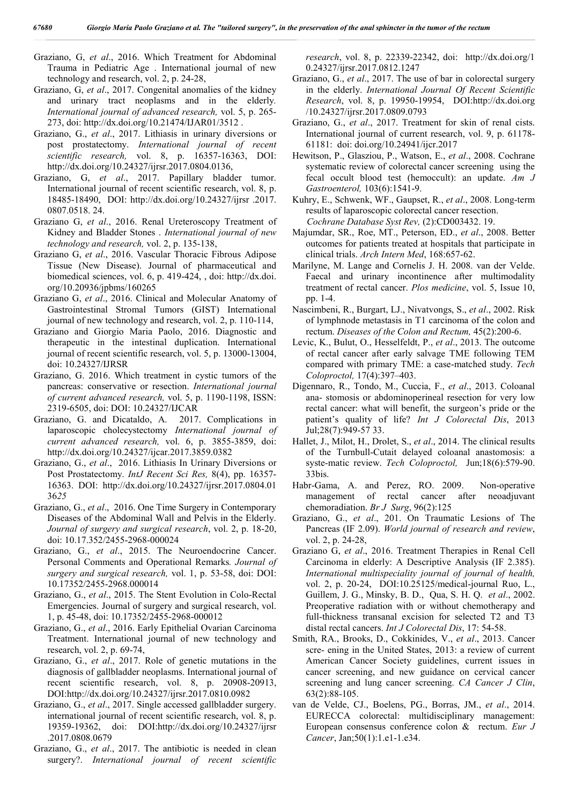- Graziano, G, *et al*., 2016. Which Treatment for Abdominal Trauma in Pediatric Age . International journal of new technology and research, vol. 2, p. 24-28,
- Graziano, G, *et al*., 2017. Congenital anomalies of the kidney and urinary tract neoplasms and in the elderly*. International journal of advanced research,* vol. 5, p. 265- 273, doi: http://dx.doi.org/10.21474/IJAR01/3512 .
- Graziano, G., *et al*., 2017. Lithiasis in urinary diversions or post prostatectomy. *International journal of recent scientific research,* vol. 8, p. 16357-16363, DOI: http://dx.doi.org/10.24327/ijrsr.2017.0804.0136,
- Graziano, G, *et al*., 2017. Papillary bladder tumor. International journal of recent scientific research, vol. 8, p. 18485-18490, DOI: http://dx.doi.org/10.24327/ijrsr .2017. 0807.0518. 24.
- Graziano G, *et al*., 2016. Renal Ureteroscopy Treatment of Kidney and Bladder Stones . *International journal of new technology and research,* vol. 2, p. 135-138,
- Graziano G, *et al*., 2016. Vascular Thoracic Fibrous Adipose Tissue (New Disease). Journal of pharmaceutical and biomedical sciences, vol. 6, p. 419-424, , doi: http://dx.doi. org/10.20936/jpbms/160265
- Graziano G, *et al*., 2016. Clinical and Molecular Anatomy of Gastrointestinal Stromal Tumors (GIST) International journal of new technology and research, vol. 2, p. 110-114,
- Graziano and Giorgio Maria Paolo, 2016. Diagnostic and therapeutic in the intestinal duplication. International journal of recent scientific research, vol. 5, p. 13000-13004, doi: 10.24327/IJRSR
- Graziano, G. 2016. Which treatment in cystic tumors of the pancreas: conservative or resection. *International journal of current advanced research,* vol. 5, p. 1190-1198, ISSN: 2319-6505, doi: DOI: 10.24327/IJCAR
- Graziano, G. and Dicataldo, A. 2017. Complications in laparoscopic cholecystectomy *International journal of current advanced research,* vol. 6, p. 3855-3859, doi: http://dx.doi.org/10.24327/ijcar.2017.3859.0382
- Graziano, G., *et al*., 2016. Lithiasis In Urinary Diversions or Post Prostatectomy. *IntJ Recent Sci Res,* 8(4), pp. 16357- 16363. DOI: http://dx.doi.org/10.24327/ijrsr.2017.0804.01 36*25*
- Graziano, G., *et al*., 2016. One Time Surgery in Contemporary Diseases of the Abdominal Wall and Pelvis in the Elderly. *Journal of surgery and surgical research*, vol. 2, p. 18-20, doi: 10.17.352/2455-2968-000024
- Graziano, G., *et al*., 2015. The Neuroendocrine Cancer. Personal Comments and Operational Remarks*. Journal of surgery and surgical research,* vol. 1, p. 53-58, doi: DOI: 10.17352/2455-2968.000014
- Graziano, G., *et al*., 2015. The Stent Evolution in Colo-Rectal Emergencies. Journal of surgery and surgical research, vol. 1, p. 45-48, doi: 10.17352/2455-2968-000012
- Graziano, G., *et al*., 2016. Early Epithelial Ovarian Carcinoma Treatment. International journal of new technology and research, vol. 2, p. 69-74,
- Graziano, G., *et al*., 2017. Role of genetic mutations in the diagnosis of gallbladder neoplasms. International journal of recent scientific research, vol. 8, p. 20908-20913, DOI:http://dx.doi.org/10.24327/ijrsr.2017.0810.0982
- Graziano, G., *et al*., 2017. Single accessed gallbladder surgery. international journal of recent scientific research, vol. 8, p. 19359-19362, doi: DOI:http://dx.doi.org/10.24327/ijrsr .2017.0808.0679
- Graziano, G., *et al*., 2017. The antibiotic is needed in clean surgery?. *International journal of recent scientific*

*research*, vol. 8, p. 22339-22342, doi: http://dx.doi.org/1 0.24327/ijrsr.2017.0812.1247

- Graziano, G., *et al*., 2017. The use of bar in colorectal surgery in the elderly. *International Journal Of Recent Scientific Research*, vol. 8, p. 19950-19954, DOI:http://dx.doi.org /10.24327/ijrsr.2017.0809.0793
- Graziano, G., *et al*., 2017. Treatment for skin of renal cists. International journal of current research, vol. 9, p. 61178- 61181: doi: doi.org/10.24941/ijcr.2017
- Hewitson, P., Glasziou, P., Watson, E., *et al*., 2008. Cochrane systematic review of colorectal cancer screening using the fecal occult blood test (hemoccult): an update. *Am J Gastroenterol,* 103(6):1541-9.
- Kuhry, E., Schwenk, WF., Gaupset, R., *et al*., 2008. Long-term results of laparoscopic colorectal cancer resection.  *Cochrane Database Syst Rev,* (2):CD003432. 19.
- Majumdar, SR., Roe, MT., Peterson, ED., *et al*., 2008. Better outcomes for patients treated at hospitals that participate in clinical trials. *Arch Intern Med*, 168:657-62.
- Marilyne, M. Lange and Cornelis J. H. 2008. van der Velde. Faecal and urinary incontinence after multimodality treatment of rectal cancer. *Plos medicine*, vol. 5, Issue 10, pp. 1-4.
- Nascimbeni, R., Burgart, LJ., Nivatvongs, S., *et al*., 2002. Risk of lymphnode metastasis in T1 carcinoma of the colon and rectum. *Diseases of the Colon and Rectum,* 45(2):200-6.
- Levic, K., Bulut, O., Hesselfeldt, P., *et al*., 2013. The outcome of rectal cancer after early salvage TME following TEM compared with primary TME: a case-matched study. *Tech Coloproctol,* 17(4):397–403.
- Digennaro, R., Tondo, M., Cuccia, F., *et al*., 2013. Coloanal ana- stomosis or abdominoperineal resection for very low rectal cancer: what will benefit, the surgeon's pride or the patient's quality of life? *Int J Colorectal Dis*, 2013 Jul;28(7):949-57 33.
- Hallet, J., Milot, H., Drolet, S., *et al*., 2014. The clinical results of the Turnbull-Cutait delayed coloanal anastomosis: a syste-matic review. *Tech Coloproctol,* Jun;18(6):579-90. 33bis.
- Habr-Gama, A. and Perez, RO. 2009. Non-operative management of rectal cancer after neoadjuvant chemoradiation. *Br J Surg*, 96(2):125
- Graziano, G., *et al*., 201. On Traumatic Lesions of The Pancreas (IF 2.09). *World journal of research and review*, vol. 2, p. 24-28,
- Graziano G, *et al*., 2016. Treatment Therapies in Renal Cell Carcinoma in elderly: A Descriptive Analysis (IF 2.385). *International multispeciality journal of journal of health,*  vol. 2, p. 20-24, DOI:10.25125/medical-journal Ruo, L., Guillem, J. G., Minsky, B. D., Qua, S. H. Q. *et al*., 2002. Preoperative radiation with or without chemotherapy and full-thickness transanal excision for selected T2 and T3 distal rectal cancers. *Int J Colorectal Dis*, 17: 54-58.
- Smith, RA., Brooks, D., Cokkinides, V., *et al*., 2013. Cancer scre- ening in the United States, 2013: a review of current American Cancer Society guidelines, current issues in cancer screening, and new guidance on cervical cancer screening and lung cancer screening. *CA Cancer J Clin*, 63(2):88-105.
- van de Velde, CJ., Boelens, PG., Borras, JM., *et al*., 2014. EURECCA colorectal: multidisciplinary management: European consensus conference colon & rectum. *Eur J Cancer*, Jan;50(1):1.e1-1.e34.